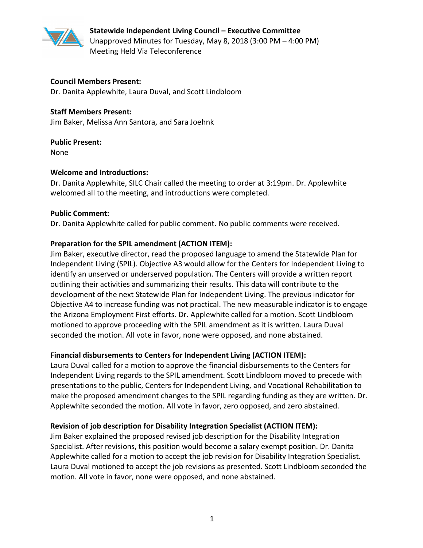

**Statewide Independent Living Council – Executive Committee** Unapproved Minutes for Tuesday, May 8, 2018 (3:00 PM – 4:00 PM) Meeting Held Via Teleconference

#### **Council Members Present:**

Dr. Danita Applewhite, Laura Duval, and Scott Lindbloom

#### **Staff Members Present:**

Jim Baker, Melissa Ann Santora, and Sara Joehnk

#### **Public Present:**

None

#### **Welcome and Introductions:**

Dr. Danita Applewhite, SILC Chair called the meeting to order at 3:19pm. Dr. Applewhite welcomed all to the meeting, and introductions were completed.

#### **Public Comment:**

Dr. Danita Applewhite called for public comment. No public comments were received.

## **Preparation for the SPIL amendment (ACTION ITEM):**

Jim Baker, executive director, read the proposed language to amend the Statewide Plan for Independent Living (SPIL). Objective A3 would allow for the Centers for Independent Living to identify an unserved or underserved population. The Centers will provide a written report outlining their activities and summarizing their results. This data will contribute to the development of the next Statewide Plan for Independent Living. The previous indicator for Objective A4 to increase funding was not practical. The new measurable indicator is to engage the Arizona Employment First efforts. Dr. Applewhite called for a motion. Scott Lindbloom motioned to approve proceeding with the SPIL amendment as it is written. Laura Duval seconded the motion. All vote in favor, none were opposed, and none abstained.

## **Financial disbursements to Centers for Independent Living (ACTION ITEM):**

Laura Duval called for a motion to approve the financial disbursements to the Centers for Independent Living regards to the SPIL amendment. Scott Lindbloom moved to precede with presentations to the public, Centers for Independent Living, and Vocational Rehabilitation to make the proposed amendment changes to the SPIL regarding funding as they are written. Dr. Applewhite seconded the motion. All vote in favor, zero opposed, and zero abstained.

## **Revision of job description for Disability Integration Specialist (ACTION ITEM):**

Jim Baker explained the proposed revised job description for the Disability Integration Specialist. After revisions, this position would become a salary exempt position. Dr. Danita Applewhite called for a motion to accept the job revision for Disability Integration Specialist. Laura Duval motioned to accept the job revisions as presented. Scott Lindbloom seconded the motion. All vote in favor, none were opposed, and none abstained.